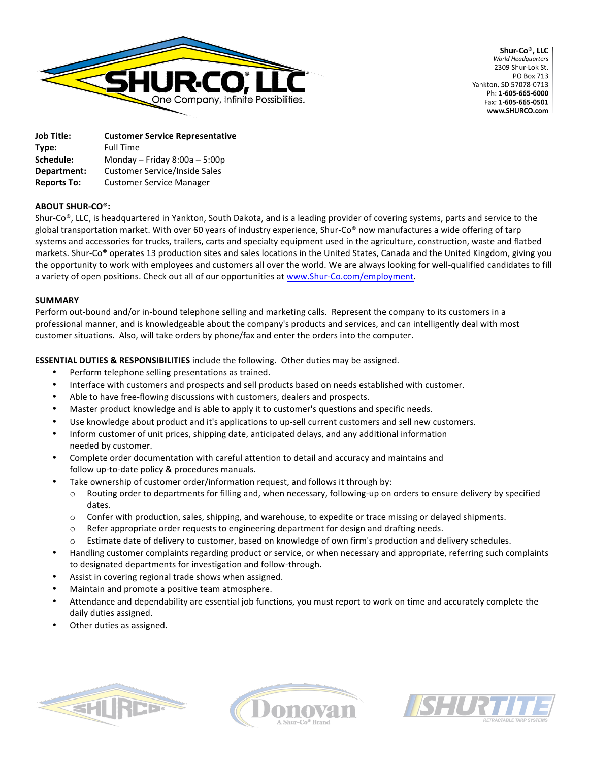

Shur-Co®, LLC **World Headquarters** 2309 Shur-Lok St PO Box 713 Yankton, SD 57078-0713 Ph: 1-605-665-6000 Fax: 1-605-665-0501 www.SHURCO.com

| <b>Job Title:</b>  | <b>Customer Service Representative</b> |
|--------------------|----------------------------------------|
| Type:              | <b>Full Time</b>                       |
| Schedule:          | Monday - Friday $8:00a - 5:00p$        |
| Department:        | <b>Customer Service/Inside Sales</b>   |
| <b>Reports To:</b> | <b>Customer Service Manager</b>        |

# **ABOUT SHUR-CO®:**

Shur-Co®, LLC, is headquartered in Yankton, South Dakota, and is a leading provider of covering systems, parts and service to the global transportation market. With over 60 years of industry experience, Shur-Co® now manufactures a wide offering of tarp systems and accessories for trucks, trailers, carts and specialty equipment used in the agriculture, construction, waste and flatbed markets. Shur-Co® operates 13 production sites and sales locations in the United States, Canada and the United Kingdom, giving you the opportunity to work with employees and customers all over the world. We are always looking for well-qualified candidates to fill a variety of open positions. Check out all of our opportunities at www.Shur-Co.com/employment.

## **SUMMARY**

Perform out-bound and/or in-bound telephone selling and marketing calls. Represent the company to its customers in a professional manner, and is knowledgeable about the company's products and services, and can intelligently deal with most customer situations. Also, will take orders by phone/fax and enter the orders into the computer.

# **ESSENTIAL DUTIES & RESPONSIBILITIES** include the following. Other duties may be assigned.

- Perform telephone selling presentations as trained.
- Interface with customers and prospects and sell products based on needs established with customer.
- Able to have free-flowing discussions with customers, dealers and prospects.
- Master product knowledge and is able to apply it to customer's questions and specific needs.
- Use knowledge about product and it's applications to up-sell current customers and sell new customers.
- Inform customer of unit prices, shipping date, anticipated delays, and any additional information needed by customer.
- Complete order documentation with careful attention to detail and accuracy and maintains and follow up-to-date policy & procedures manuals.
- Take ownership of customer order/information request, and follows it through by:
	- $\circ$  Routing order to departments for filling and, when necessary, following-up on orders to ensure delivery by specified dates.
	- $\circ$  Confer with production, sales, shipping, and warehouse, to expedite or trace missing or delayed shipments.
	- $\circ$  Refer appropriate order requests to engineering department for design and drafting needs.
	- Estimate date of delivery to customer, based on knowledge of own firm's production and delivery schedules.
- Handling customer complaints regarding product or service, or when necessary and appropriate, referring such complaints to designated departments for investigation and follow-through.
- Assist in covering regional trade shows when assigned.
- Maintain and promote a positive team atmosphere.
- Attendance and dependability are essential job functions, you must report to work on time and accurately complete the daily duties assigned.
- Other duties as assigned.